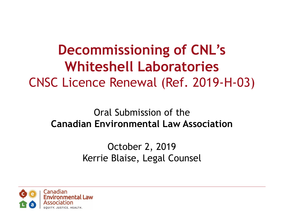**Decommissioning of CNL's Whiteshell Laboratories** CNSC Licence Renewal (Ref. 2019-H-03)

#### Oral Submission of the **Canadian Environmental Law Association**

October 2, 2019 Kerrie Blaise, Legal Counsel

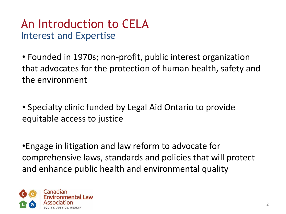### An Introduction to CELA Interest and Expertise

• Founded in 1970s; non-profit, public interest organization that advocates for the protection of human health, safety and the environment

• Specialty clinic funded by Legal Aid Ontario to provide equitable access to justice

•Engage in litigation and law reform to advocate for comprehensive laws, standards and policies that will protect and enhance public health and environmental quality

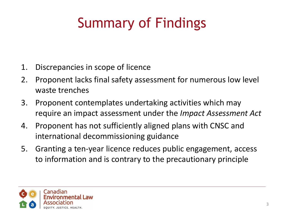# Summary of Findings

- 1. Discrepancies in scope of licence
- 2. Proponent lacks final safety assessment for numerous low level waste trenches
- 3. Proponent contemplates undertaking activities which may require an impact assessment under the *Impact Assessment Act*
- 4. Proponent has not sufficiently aligned plans with CNSC and international decommissioning guidance
- 5. Granting a ten-year licence reduces public engagement, access to information and is contrary to the precautionary principle

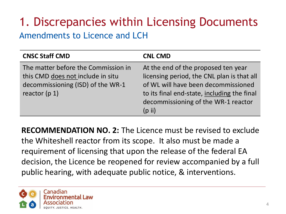## 1. Discrepancies within Licensing Documents Amendments to Licence and LCH

| <b>CNSC Staff CMD</b>                                                                                                            | <b>CNL CMD</b>                                                                                                                                                                                                             |
|----------------------------------------------------------------------------------------------------------------------------------|----------------------------------------------------------------------------------------------------------------------------------------------------------------------------------------------------------------------------|
| The matter before the Commission in<br>this CMD does not include in situ<br>decommissioning (ISD) of the WR-1<br>reactor $(p 1)$ | At the end of the proposed ten year<br>licensing period, the CNL plan is that all<br>of WL will have been decommissioned<br>to its final end-state, including the final<br>decommissioning of the WR-1 reactor<br>$(p$ ii) |

**RECOMMENDATION NO. 2:** The Licence must be revised to exclude the Whiteshell reactor from its scope. It also must be made a requirement of licensing that upon the release of the federal EA decision, the Licence be reopened for review accompanied by a full public hearing, with adequate public notice, & interventions.

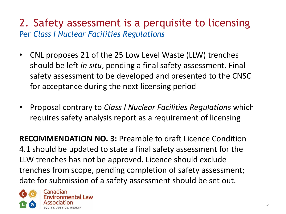#### 2. Safety assessment is a perquisite to licensing Per *Class I Nuclear Facilities Regulations*

- CNL proposes 21 of the 25 Low Level Waste (LLW) trenches should be left *in situ*, pending a final safety assessment. Final safety assessment to be developed and presented to the CNSC for acceptance during the next licensing period
- Proposal contrary to *Class I Nuclear Facilities Regulations* which requires safety analysis report as a requirement of licensing

**RECOMMENDATION NO. 3:** Preamble to draft Licence Condition 4.1 should be updated to state a final safety assessment for the LLW trenches has not be approved. Licence should exclude trenches from scope, pending completion of safety assessment; date for submission of a safety assessment should be set out.



nental Law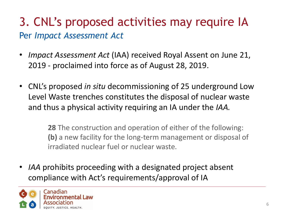## 3. CNL's proposed activities may require IA Per *Impact Assessment Act*

- *Impact Assessment Act* (IAA) received Royal Assent on June 21, 2019 - proclaimed into force as of August 28, 2019.
- CNL's proposed *in situ* decommissioning of 25 underground Low Level Waste trenches constitutes the disposal of nuclear waste and thus a physical activity requiring an IA under the *IAA.*

**28** The construction and operation of either of the following: **(b)** a new facility for the long-term management or disposal of irradiated nuclear fuel or nuclear waste.

• *IAA* prohibits proceeding with a designated project absent compliance with Act's requirements/approval of IA

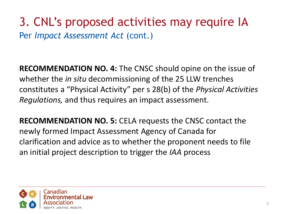## 3. CNL's proposed activities may require IA Per *Impact Assessment Act (cont.)*

**RECOMMENDATION NO. 4:** The CNSC should opine on the issue of whether the *in situ* decommissioning of the 25 LLW trenches constitutes a "Physical Activity" per s 28(b) of the *Physical Activities Regulations,* and thus requires an impact assessment.

**RECOMMENDATION NO. 5:** CELA requests the CNSC contact the newly formed Impact Assessment Agency of Canada for clarification and advice as to whether the proponent needs to file an initial project description to trigger the *IAA* process

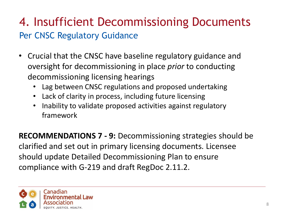## 4. Insufficient Decommissioning Documents Per CNSC Regulatory Guidance

- Crucial that the CNSC have baseline regulatory guidance and oversight for decommissioning in place *prior* to conducting decommissioning licensing hearings
	- Lag between CNSC regulations and proposed undertaking
	- Lack of clarity in process, including future licensing
	- Inability to validate proposed activities against regulatory framework

**RECOMMENDATIONS 7 - 9:** Decommissioning strategies should be clarified and set out in primary licensing documents. Licensee should update Detailed Decommissioning Plan to ensure compliance with G-219 and draft RegDoc 2.11.2.

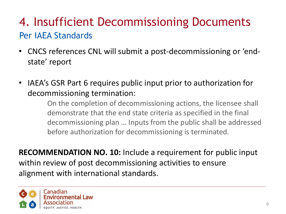## 4. Insufficient Decommissioning Documents Per IAEA Standards

- CNCS references CNL will submit a post-decommissioning or 'endstate' report
- IAEA's GSR Part 6 requires public input prior to authorization for decommissioning termination:

On the completion of decommissioning actions, the licensee shall demonstrate that the end state criteria as specified in the final decommissioning plan … Inputs from the public shall be addressed before authorization for decommissioning is terminated.

**RECOMMENDATION NO. 10:** Include a requirement for public input within review of post decommissioning activities to ensure alignment with international standards.

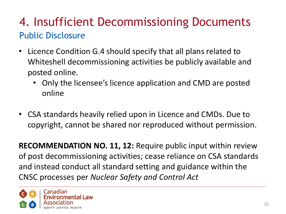## 4. Insufficient Decommissioning Documents Public Disclosure

- Licence Condition G.4 should specify that all plans related to Whiteshell decommissioning activities be publicly available and posted online.
	- Only the licensee's licence application and CMD are posted online
- CSA standards heavily relied upon in Licence and CMDs. Due to copyright, cannot be shared nor reproduced without permission.

**RECOMMENDATION NO. 11, 12:** Require public input within review of post decommissioning activities; cease reliance on CSA standards and instead conduct all standard setting and guidance within the CNSC processes per *Nuclear Safety and Control Act* 

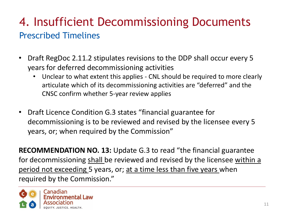## 4. Insufficient Decommissioning Documents Prescribed Timelines

- Draft RegDoc 2.11.2 stipulates revisions to the DDP shall occur every 5 years for deferred decommissioning activities
	- Unclear to what extent this applies CNL should be required to more clearly articulate which of its decommissioning activities are "deferred" and the CNSC confirm whether 5-year review applies
- Draft Licence Condition G.3 states "financial guarantee for decommissioning is to be reviewed and revised by the licensee every 5 years, or; when required by the Commission"

**RECOMMENDATION NO. 13:** Update G.3 to read "the financial guarantee for decommissioning shall be reviewed and revised by the licensee within a period not exceeding 5 years, or; at a time less than five years when required by the Commission."

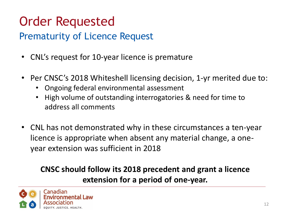### Prematurity of Licence Request

- CNL's request for 10-year licence is premature
- Per CNSC's 2018 Whiteshell licensing decision, 1-yr merited due to:
	- Ongoing federal environmental assessment
	- High volume of outstanding interrogatories & need for time to address all comments
- CNL has not demonstrated why in these circumstances a ten-year licence is appropriate when absent any material change, a oneyear extension was sufficient in 2018

#### **CNSC should follow its 2018 precedent and grant a licence extension for a period of one-year.**

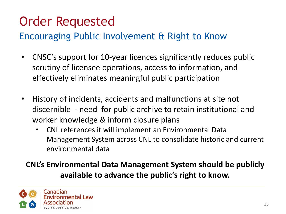### Encouraging Public Involvement & Right to Know

- CNSC's support for 10-year licences significantly reduces public scrutiny of licensee operations, access to information, and effectively eliminates meaningful public participation
- History of incidents, accidents and malfunctions at site not discernible - need for public archive to retain institutional and worker knowledge & inform closure plans
	- CNL references it will implement an Environmental Data Management System across CNL to consolidate historic and current environmental data

#### **CNL's Environmental Data Management System should be publicly available to advance the public's right to know.**

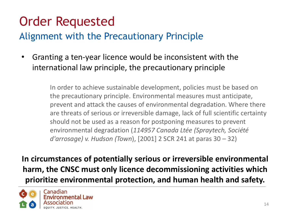#### Alignment with the Precautionary Principle

• Granting a ten-year licence would be inconsistent with the international law principle, the precautionary principle

> In order to achieve sustainable development, policies must be based on the precautionary principle. Environmental measures must anticipate, prevent and attack the causes of environmental degradation. Where there are threats of serious or irreversible damage, lack of full scientific certainty should not be used as a reason for postponing measures to prevent environmental degradation (*114957 Canada Ltée (Spraytech, Société d'arrosage) v. Hudson (Town*), [2001] 2 SCR 241 at paras 30 – 32)

**In circumstances of potentially serious or irreversible environmental harm, the CNSC must only licence decommissioning activities which prioritize environmental protection, and human health and safety.** 

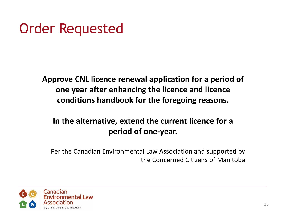**Approve CNL licence renewal application for a period of one year after enhancing the licence and licence conditions handbook for the foregoing reasons.**

#### **In the alternative, extend the current licence for a period of one-year.**

Per the Canadian Environmental Law Association and supported by the Concerned Citizens of Manitoba